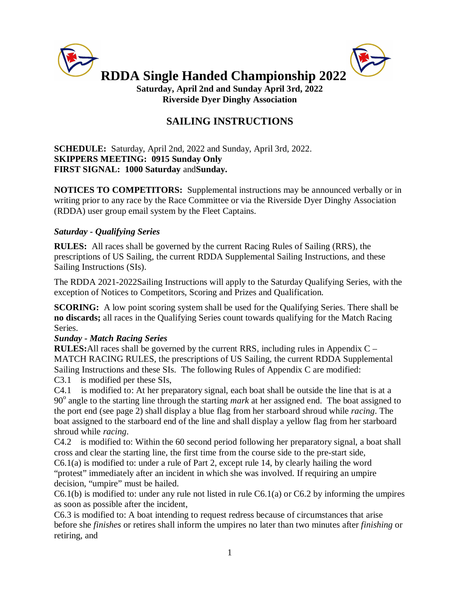

**Saturday, April 2nd and Sunday April 3rd, 2022 Riverside Dyer Dinghy Association**

# **SAILING INSTRUCTIONS**

**SCHEDULE:** Saturday, April 2nd, 2022 and Sunday, April 3rd, 2022. **SKIPPERS MEETING: 0915 Sunday Only FIRST SIGNAL: 1000 Saturday** and**Sunday.**

**NOTICES TO COMPETITORS:** Supplemental instructions may be announced verbally or in writing prior to any race by the Race Committee or via the Riverside Dyer Dinghy Association (RDDA) user group email system by the Fleet Captains.

#### *Saturday - Qualifying Series*

**RULES:** All races shall be governed by the current Racing Rules of Sailing (RRS), the prescriptions of US Sailing, the current RDDA Supplemental Sailing Instructions, and these Sailing Instructions (SIs).

The RDDA 2021-2022Sailing Instructions will apply to the Saturday Qualifying Series, with the exception of Notices to Competitors, Scoring and Prizes and Qualification.

**SCORING:** A low point scoring system shall be used for the Qualifying Series. There shall be **no discards;** all races in the Qualifying Series count towards qualifying for the Match Racing Series.

## *Sunday - Match Racing Series*

**RULES:**All races shall be governed by the current RRS, including rules in Appendix C – MATCH RACING RULES, the prescriptions of US Sailing, the current RDDA Supplemental Sailing Instructions and these SIs. The following Rules of Appendix C are modified: C3.1 is modified per these SIs,

C4.1 is modified to: At her preparatory signal, each boat shall be outside the line that is at a 90<sup>o</sup> angle to the starting line through the starting *mark* at her assigned end. The boat assigned to the port end (see page 2) shall display a blue flag from her starboard shroud while *racing*. The boat assigned to the starboard end of the line and shall display a yellow flag from her starboard shroud while *racing*.

C4.2 is modified to: Within the 60 second period following her preparatory signal, a boat shall cross and clear the starting line, the first time from the course side to the pre-start side,

C6.1(a) is modified to: under a rule of Part 2, except rule 14, by clearly hailing the word "protest" immediately after an incident in which she was involved. If requiring an umpire decision, "umpire" must be hailed.

 $C6.1(b)$  is modified to: under any rule not listed in rule  $C6.1(a)$  or  $C6.2$  by informing the umpires as soon as possible after the incident,

C6.3 is modified to: A boat intending to request redress because of circumstances that arise before she *finishes* or retires shall inform the umpires no later than two minutes after *finishing* or retiring, and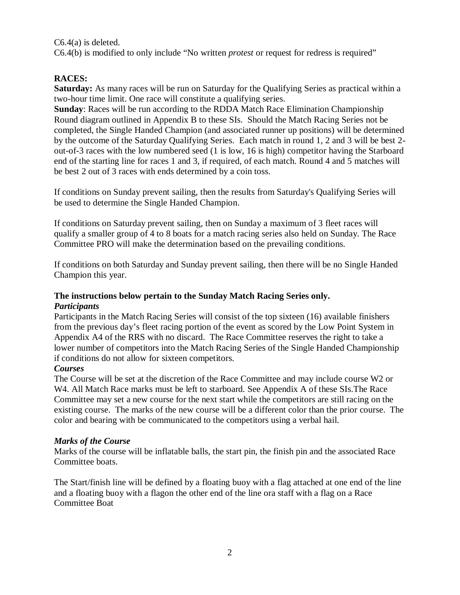C6.4(a) is deleted. C6.4(b) is modified to only include "No written *protest* or request for redress is required"

## **RACES:**

**Saturday:** As many races will be run on Saturday for the Qualifying Series as practical within a two-hour time limit. One race will constitute a qualifying series.

**Sunday**: Races will be run according to the RDDA Match Race Elimination Championship Round diagram outlined in Appendix B to these SIs. Should the Match Racing Series not be completed, the Single Handed Champion (and associated runner up positions) will be determined by the outcome of the Saturday Qualifying Series. Each match in round 1, 2 and 3 will be best 2 out-of-3 races with the low numbered seed (1 is low, 16 is high) competitor having the Starboard end of the starting line for races 1 and 3, if required, of each match. Round 4 and 5 matches will be best 2 out of 3 races with ends determined by a coin toss.

If conditions on Sunday prevent sailing, then the results from Saturday's Qualifying Series will be used to determine the Single Handed Champion.

If conditions on Saturday prevent sailing, then on Sunday a maximum of 3 fleet races will qualify a smaller group of 4 to 8 boats for a match racing series also held on Sunday. The Race Committee PRO will make the determination based on the prevailing conditions.

If conditions on both Saturday and Sunday prevent sailing, then there will be no Single Handed Champion this year.

#### **The instructions below pertain to the Sunday Match Racing Series only.** *Participants*

Participants in the Match Racing Series will consist of the top sixteen (16) available finishers from the previous day's fleet racing portion of the event as scored by the Low Point System in Appendix A4 of the RRS with no discard. The Race Committee reserves the right to take a lower number of competitors into the Match Racing Series of the Single Handed Championship if conditions do not allow for sixteen competitors.

## *Courses*

The Course will be set at the discretion of the Race Committee and may include course W2 or W4. All Match Race marks must be left to starboard. See Appendix A of these SIs.The Race Committee may set a new course for the next start while the competitors are still racing on the existing course. The marks of the new course will be a different color than the prior course. The color and bearing with be communicated to the competitors using a verbal hail.

#### *Marks of the Course*

Marks of the course will be inflatable balls, the start pin, the finish pin and the associated Race Committee boats.

The Start/finish line will be defined by a floating buoy with a flag attached at one end of the line and a floating buoy with a flagon the other end of the line ora staff with a flag on a Race Committee Boat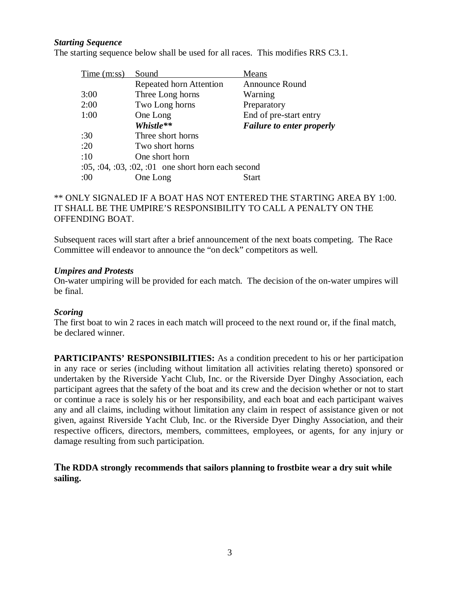#### *Starting Sequence*

| The starting sequence below shall be used for all races. This modifies RRS C3.1. |  |
|----------------------------------------------------------------------------------|--|
|                                                                                  |  |

| Sound                                            | Means                            |  |
|--------------------------------------------------|----------------------------------|--|
| <b>Repeated horn Attention</b>                   | <b>Announce Round</b>            |  |
| Three Long horns                                 | Warning                          |  |
| Two Long horns                                   | Preparatory                      |  |
| One Long                                         | End of pre-start entry           |  |
| Whistle**                                        | <b>Failure to enter properly</b> |  |
| Three short horns                                |                                  |  |
| :20<br>Two short horns                           |                                  |  |
| :10<br>One short horn                            |                                  |  |
| $:05, 04, 03, 02, 01$ one short horn each second |                                  |  |
| One Long                                         | Start                            |  |
|                                                  |                                  |  |

## \*\* ONLY SIGNALED IF A BOAT HAS NOT ENTERED THE STARTING AREA BY 1:00. IT SHALL BE THE UMPIRE'S RESPONSIBILITY TO CALL A PENALTY ON THE OFFENDING BOAT.

Subsequent races will start after a brief announcement of the next boats competing. The Race Committee will endeavor to announce the "on deck" competitors as well.

#### *Umpires and Protests*

On-water umpiring will be provided for each match. The decision of the on-water umpires will be final.

#### *Scoring*

The first boat to win 2 races in each match will proceed to the next round or, if the final match, be declared winner.

**PARTICIPANTS' RESPONSIBILITIES:** As a condition precedent to his or her participation in any race or series (including without limitation all activities relating thereto) sponsored or undertaken by the Riverside Yacht Club, Inc. or the Riverside Dyer Dinghy Association, each participant agrees that the safety of the boat and its crew and the decision whether or not to start or continue a race is solely his or her responsibility, and each boat and each participant waives any and all claims, including without limitation any claim in respect of assistance given or not given, against Riverside Yacht Club, Inc. or the Riverside Dyer Dinghy Association, and their respective officers, directors, members, committees, employees, or agents, for any injury or damage resulting from such participation.

#### **The RDDA strongly recommends that sailors planning to frostbite wear a dry suit while sailing.**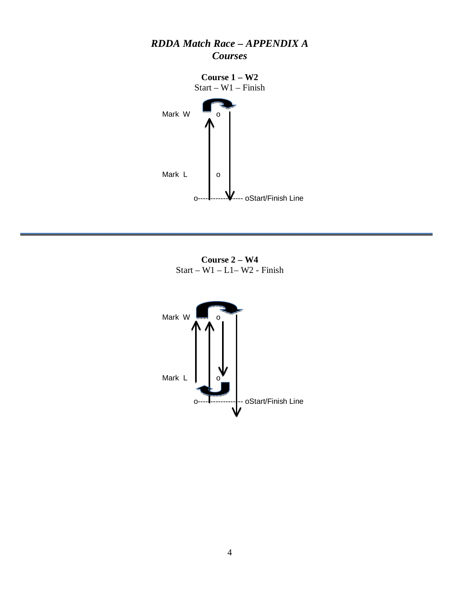

**Course 2 – W4** Start –  $W1 - L1 - W2$  - Finish

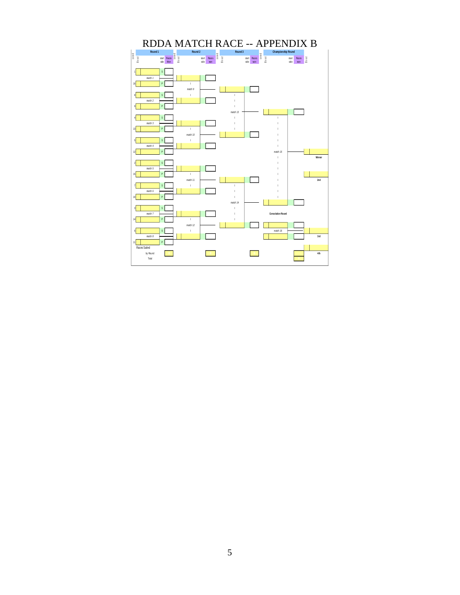